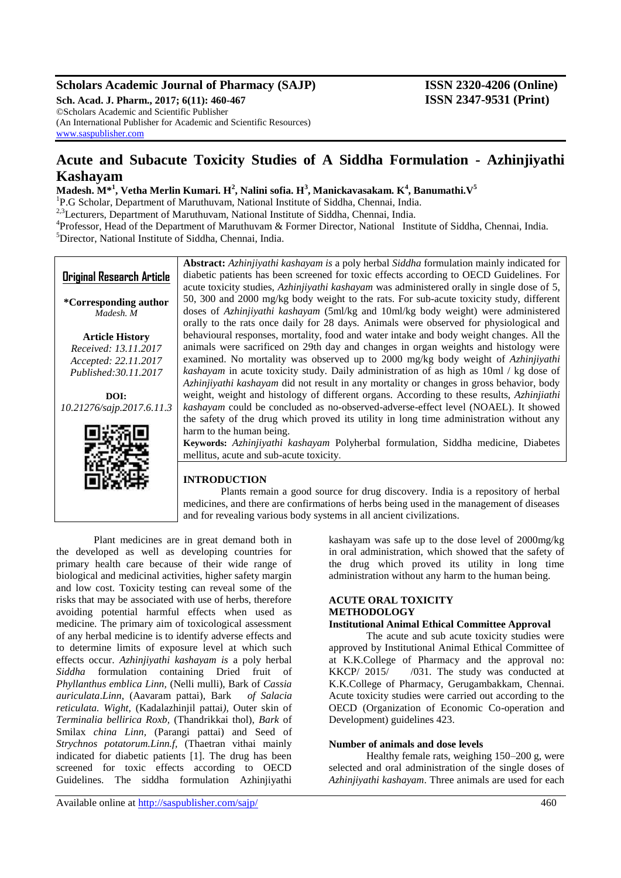## **Scholars Academic Journal of Pharmacy (SAJP) ISSN 2320-4206 (Online)**

**Sch. Acad. J. Pharm., 2017; 6(11): 460-467 ISSN 2347-9531 (Print)** ©Scholars Academic and Scientific Publisher (An International Publisher for Academic and Scientific Resources) [www.saspublisher.com](http://www.saspublisher.com/)

## **Acute and Subacute Toxicity Studies of A Siddha Formulation - Azhinjiyathi Kashayam**

**Madesh. M\*<sup>1</sup> , Vetha Merlin Kumari. H<sup>2</sup> , Nalini sofia. H<sup>3</sup> , Manickavasakam. K<sup>4</sup> , Banumathi.V<sup>5</sup>**

<sup>1</sup>P.G Scholar, Department of Maruthuvam, National Institute of Siddha, Chennai, India.

<sup>2,3</sup>Lecturers, Department of Maruthuvam, National Institute of Siddha, Chennai, India.

<sup>4</sup>Professor, Head of the Department of Maruthuvam & Former Director, National Institute of Siddha, Chennai, India. <sup>5</sup>Director, National Institute of Siddha, Chennai, India.



## **INTRODUCTION**

Plants remain a good source for drug discovery. India is a repository of herbal medicines, and there are confirmations of herbs being used in the management of diseases and for revealing various body systems in all ancient civilizations.

Plant medicines are in great demand both in the developed as well as developing countries for primary health care because of their wide range of biological and medicinal activities, higher safety margin and low cost. Toxicity testing can reveal some of the risks that may be associated with use of herbs, therefore avoiding potential harmful effects when used as medicine. The primary aim of toxicological assessment of any herbal medicine is to identify adverse effects and to determine limits of exposure level at which such effects occur. *Azhinjiyathi kashayam is* a poly herbal *Siddha* formulation containing Dried fruit of *Phyllanthus emblica Linn,* (Nelli mulli), Bark of *Cassia auriculata*.*Linn*, (Aavaram pattai), Bark *of Salacia reticulata. Wight,* (Kadalazhinjil pattai*),* Outer skin of *Terminalia bellirica Roxb,* (Thandrikkai thol), *Bark* of Smilax *china Linn,* (Parangi pattai) and Seed of *Strychnos potatorum.Linn.f,* (Thaetran vithai mainly indicated for diabetic patients [1]. The drug has been screened for toxic effects according to OECD Guidelines. The siddha formulation Azhinjiyathi

kashayam was safe up to the dose level of 2000mg/kg in oral administration, which showed that the safety of the drug which proved its utility in long time administration without any harm to the human being.

## **ACUTE ORAL TOXICITY METHODOLOGY**

## **Institutional Animal Ethical Committee Approval**

The acute and sub acute toxicity studies were approved by Institutional Animal Ethical Committee of at K.K.College of Pharmacy and the approval no: KKCP/ 2015/ /031. The study was conducted at K.K.College of Pharmacy, Gerugambakkam, Chennai. Acute toxicity studies were carried out according to the OECD (Organization of Economic Co-operation and Development) guidelines 423.

## **Number of animals and dose levels**

Healthy female rats, weighing 150–200 g, were selected and oral administration of the single doses of *Azhinjiyathi kashayam*. Three animals are used for each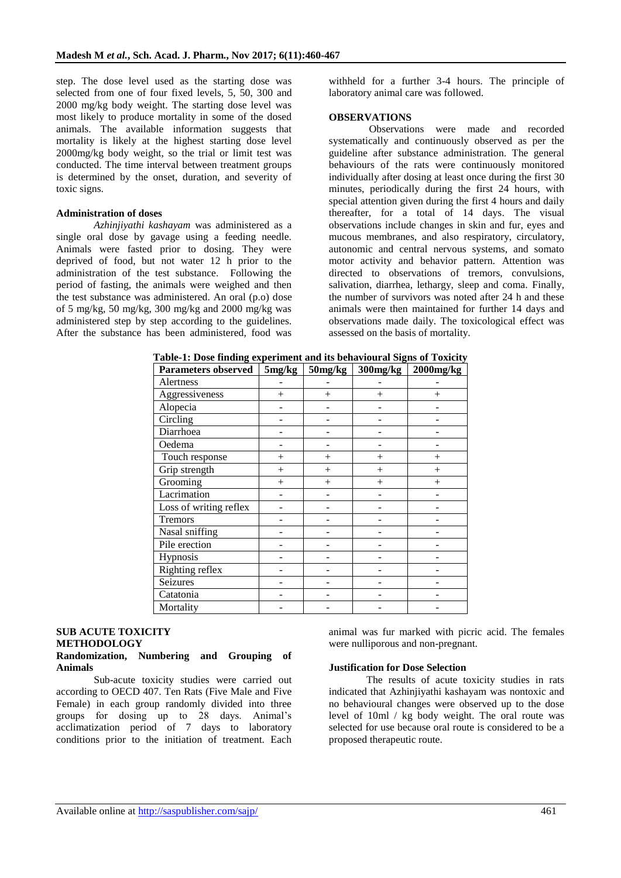step. The dose level used as the starting dose was selected from one of four fixed levels, 5, 50, 300 and 2000 mg/kg body weight. The starting dose level was most likely to produce mortality in some of the dosed animals. The available information suggests that mortality is likely at the highest starting dose level 2000mg/kg body weight, so the trial or limit test was conducted. The time interval between treatment groups is determined by the onset, duration, and severity of toxic signs.

#### **Administration of doses**

*Azhinjiyathi kashayam* was administered as a single oral dose by gavage using a feeding needle. Animals were fasted prior to dosing. They were deprived of food, but not water 12 h prior to the administration of the test substance. Following the period of fasting, the animals were weighed and then the test substance was administered. An oral (p.o) dose of 5 mg/kg, 50 mg/kg, 300 mg/kg and 2000 mg/kg was administered step by step according to the guidelines. After the substance has been administered, food was withheld for a further 3-4 hours. The principle of laboratory animal care was followed.

#### **OBSERVATIONS**

Observations were made and recorded systematically and continuously observed as per the guideline after substance administration. The general behaviours of the rats were continuously monitored individually after dosing at least once during the first 30 minutes, periodically during the first 24 hours, with special attention given during the first 4 hours and daily thereafter, for a total of 14 days. The visual observations include changes in skin and fur, eyes and mucous membranes, and also respiratory, circulatory, autonomic and central nervous systems, and somato motor activity and behavior pattern. Attention was directed to observations of tremors, convulsions, salivation, diarrhea, lethargy, sleep and coma. Finally, the number of survivors was noted after 24 h and these animals were then maintained for further 14 days and observations made daily. The toxicological effect was assessed on the basis of mortality.

| <b>Parameters observed</b> | 5mg/kg | 50mg/kg | 300mg/kg | $2000$ mg/kg |
|----------------------------|--------|---------|----------|--------------|
| Alertness                  |        |         |          |              |
| Aggressiveness             | $^{+}$ | $^{+}$  | $^{+}$   | $^{+}$       |
| Alopecia                   |        |         |          |              |
| Circling                   |        |         |          |              |
| Diarrhoea                  |        |         |          |              |
| Oedema                     |        |         |          |              |
| Touch response             | $^{+}$ | $^{+}$  | $^{+}$   | $^{+}$       |
| Grip strength              | $\, +$ | $^{+}$  |          | $^{+}$       |
| Grooming                   | $^{+}$ | $^{+}$  | $^{+}$   | $^{+}$       |
| Lacrimation                |        |         |          |              |
| Loss of writing reflex     |        |         |          |              |
| Tremors                    |        |         |          |              |
| Nasal sniffing             |        |         |          |              |
| Pile erection              |        |         |          |              |
| Hypnosis                   |        |         |          |              |
| Righting reflex            |        |         |          |              |
| Seizures                   |        |         |          |              |
| Catatonia                  |        |         |          |              |
| Mortality                  |        |         |          |              |

**Table-1: Dose finding experiment and its behavioural Signs of Toxicity**

#### **SUB ACUTE TOXICITY METHODOLOGY Randomization, Numbering and Grouping of Animals**

Sub-acute toxicity studies were carried out according to OECD 407. Ten Rats (Five Male and Five Female) in each group randomly divided into three groups for dosing up to 28 days. Animal's acclimatization period of 7 days to laboratory conditions prior to the initiation of treatment. Each

animal was fur marked with picric acid. The females were nulliporous and non-pregnant.

#### **Justification for Dose Selection**

The results of acute toxicity studies in rats indicated that Azhinjiyathi kashayam was nontoxic and no behavioural changes were observed up to the dose level of 10ml / kg body weight. The oral route was selected for use because oral route is considered to be a proposed therapeutic route.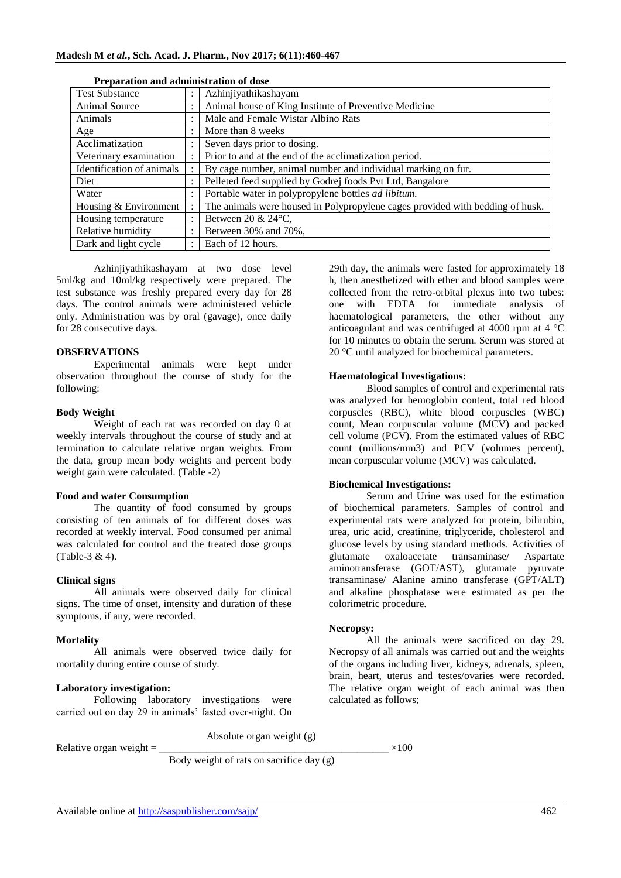| <b>Test Substance</b>     |           | Azhinjiyathikashayam                                                          |  |  |  |  |
|---------------------------|-----------|-------------------------------------------------------------------------------|--|--|--|--|
| Animal Source             |           | Animal house of King Institute of Preventive Medicine                         |  |  |  |  |
| Animals                   |           | Male and Female Wistar Albino Rats                                            |  |  |  |  |
| Age                       |           | More than 8 weeks                                                             |  |  |  |  |
| Acclimatization           |           | Seven days prior to dosing.                                                   |  |  |  |  |
| Veterinary examination    |           | Prior to and at the end of the acclimatization period.                        |  |  |  |  |
| Identification of animals |           | By cage number, animal number and individual marking on fur.                  |  |  |  |  |
| Diet                      | $\bullet$ | Pelleted feed supplied by Godrej foods Pvt Ltd, Bangalore                     |  |  |  |  |
| Water                     |           | Portable water in polypropylene bottles <i>ad libitum</i> .                   |  |  |  |  |
| Housing & Environment     |           | The animals were housed in Polypropylene cages provided with bedding of husk. |  |  |  |  |
| Housing temperature       |           | Between 20 & $24^{\circ}$ C,                                                  |  |  |  |  |
| Relative humidity         |           | Between 30% and 70%,                                                          |  |  |  |  |
| Dark and light cycle      |           | Each of 12 hours.                                                             |  |  |  |  |

#### **Preparation and administration of dose**

Azhinjiyathikashayam at two dose level 5ml/kg and 10ml/kg respectively were prepared. The test substance was freshly prepared every day for 28 days. The control animals were administered vehicle only. Administration was by oral (gavage), once daily for 28 consecutive days.

#### **OBSERVATIONS**

Experimental animals were kept under observation throughout the course of study for the following:

#### **Body Weight**

Weight of each rat was recorded on day 0 at weekly intervals throughout the course of study and at termination to calculate relative organ weights. From the data, group mean body weights and percent body weight gain were calculated. (Table -2)

#### **Food and water Consumption**

The quantity of food consumed by groups consisting of ten animals of for different doses was recorded at weekly interval. Food consumed per animal was calculated for control and the treated dose groups (Table-3 & 4).

#### **Clinical signs**

All animals were observed daily for clinical signs. The time of onset, intensity and duration of these symptoms, if any, were recorded.

#### **Mortality**

All animals were observed twice daily for mortality during entire course of study.

#### **Laboratory investigation:**

Following laboratory investigations were carried out on day 29 in animals' fasted over-night. On

29th day, the animals were fasted for approximately 18 h, then anesthetized with ether and blood samples were collected from the retro-orbital plexus into two tubes: one with EDTA for immediate analysis of haematological parameters, the other without any anticoagulant and was centrifuged at 4000 rpm at 4 °C for 10 minutes to obtain the serum. Serum was stored at 20 °C until analyzed for biochemical parameters.

#### **Haematological Investigations:**

Blood samples of control and experimental rats was analyzed for hemoglobin content, total red blood corpuscles (RBC), white blood corpuscles (WBC) count, Mean corpuscular volume (MCV) and packed cell volume (PCV). From the estimated values of RBC count (millions/mm3) and PCV (volumes percent), mean corpuscular volume (MCV) was calculated.

#### **Biochemical Investigations:**

Serum and Urine was used for the estimation of biochemical parameters. Samples of control and experimental rats were analyzed for protein, bilirubin, urea, uric acid, creatinine, triglyceride, cholesterol and glucose levels by using standard methods. Activities of glutamate oxaloacetate transaminase/ Aspartate aminotransferase (GOT/AST), glutamate pyruvate transaminase/ Alanine amino transferase (GPT/ALT) and alkaline phosphatase were estimated as per the colorimetric procedure.

#### **Necropsy:**

All the animals were sacrificed on day 29. Necropsy of all animals was carried out and the weights of the organs including liver, kidneys, adrenals, spleen, brain, heart, uterus and testes/ovaries were recorded. The relative organ weight of each animal was then calculated as follows;

Absolute organ weight (g) Relative organ weight  $=$   $\times 100$ 

Body weight of rats on sacrifice day (g)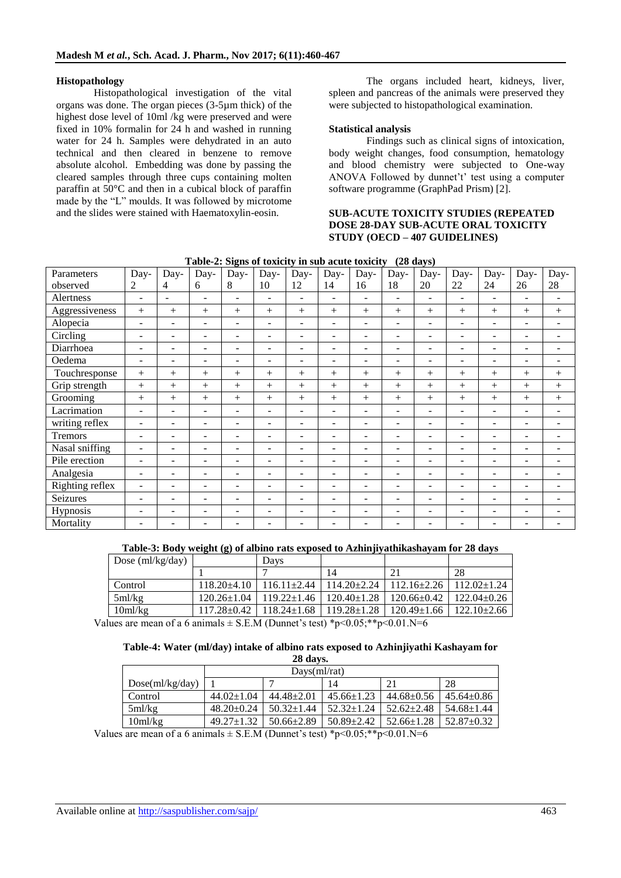#### **Histopathology**

Histopathological investigation of the vital organs was done. The organ pieces (3-5µm thick) of the highest dose level of 10ml /kg were preserved and were fixed in 10% formalin for 24 h and washed in running water for 24 h. Samples were dehydrated in an auto technical and then cleared in benzene to remove absolute alcohol. Embedding was done by passing the cleared samples through three cups containing molten paraffin at  $50^{\circ}$ C and then in a cubical block of paraffin made by the "L" moulds. It was followed by microtome and the slides were stained with Haematoxylin-eosin.

The organs included heart, kidneys, liver, spleen and pancreas of the animals were preserved they were subjected to histopathological examination.

#### **Statistical analysis**

Findings such as clinical signs of intoxication, body weight changes, food consumption, hematology and blood chemistry were subjected to One-way ANOVA Followed by dunnet't' test using a computer software programme (GraphPad Prism) [2].

#### **SUB-ACUTE TOXICITY STUDIES (REPEATED DOSE 28-DAY SUB-ACUTE ORAL TOXICITY STUDY (OECD – 407 GUIDELINES)**

|                 |                          |                          | Table-2: Siglis of toxicity in sub-active toxicity |                          |                          |                          |                          |                          |                          | $(20 \text{ days})$      |                          |                          |                          |                          |
|-----------------|--------------------------|--------------------------|----------------------------------------------------|--------------------------|--------------------------|--------------------------|--------------------------|--------------------------|--------------------------|--------------------------|--------------------------|--------------------------|--------------------------|--------------------------|
| Parameters      | Day-                     | Day-                     | Day-                                               | Day-                     | Day-                     | Day-                     | Day-                     | Day-                     | Day-                     | Day-                     | Day-                     | Day-                     | Day-                     | Day-                     |
| observed        | 2                        | 4                        | 6                                                  | 8                        | 10                       | 12                       | 14                       | 16                       | 18                       | 20                       | 22                       | 24                       | 26                       | 28                       |
| Alertness       | $\overline{\phantom{a}}$ | ÷.                       | $\overline{\phantom{m}}$                           | $\overline{\phantom{a}}$ | $\overline{\phantom{a}}$ | $\overline{\phantom{0}}$ | $\overline{\phantom{a}}$ | $\overline{\phantom{a}}$ | $\overline{\phantom{a}}$ | ÷.                       | $\overline{\phantom{a}}$ | Ξ.                       | $\overline{\phantom{a}}$ | $\overline{\phantom{a}}$ |
| Aggressiveness  | $+$                      | $+$                      | $+$                                                | $+$                      | $+$                      | $+$                      | $+$                      | $^{+}$                   | $^{+}$                   | $+$                      | $+$                      | $+$                      | $+$                      | $+$                      |
| Alopecia        | ۰                        | ۰                        | $\qquad \qquad -$                                  | $\overline{\phantom{a}}$ | $\overline{\phantom{a}}$ | $\sim$                   | $\overline{\phantom{a}}$ | $\overline{\phantom{a}}$ | $\overline{\phantom{a}}$ | $\overline{\phantom{a}}$ | $\overline{\phantom{m}}$ | ۰                        | -                        | $\overline{\phantom{a}}$ |
| Circling        | $\overline{\phantom{a}}$ | $\overline{\phantom{0}}$ | $\overline{\phantom{m}}$                           | $\overline{\phantom{a}}$ | $\overline{\phantom{a}}$ | $\sim$                   | $\overline{\phantom{a}}$ | $\overline{\phantom{a}}$ | $\overline{\phantom{a}}$ | $\overline{\phantom{a}}$ | $\overline{\phantom{m}}$ | $\overline{\phantom{0}}$ | $\overline{\phantom{a}}$ | $\overline{\phantom{a}}$ |
| Diarrhoea       | ۰                        | ۰                        | $\overline{\phantom{m}}$                           | $\overline{\phantom{a}}$ | $\overline{\phantom{a}}$ | $\sim$                   | $\overline{\phantom{a}}$ | $\overline{\phantom{a}}$ | $\overline{\phantom{a}}$ | $\overline{\phantom{a}}$ | $\overline{\phantom{a}}$ | Ξ.                       | ۰                        | $\overline{\phantom{a}}$ |
| Oedema          | $\blacksquare$           | ۰                        | $\overline{\phantom{a}}$                           | $\overline{\phantom{a}}$ | $\sim$                   | $\overline{\phantom{a}}$ | $\overline{\phantom{a}}$ | $\overline{\phantom{a}}$ | $\overline{\phantom{a}}$ | $\sim$                   | $\overline{\phantom{a}}$ | Ξ.                       | ۰                        | $\overline{\phantom{0}}$ |
| Touchresponse   | $+$                      | $^{+}$                   | $^{+}$                                             | $^{+}$                   | $+$                      | $+$                      | $^{+}$                   | $^{+}$                   | $^{+}$                   | $+$                      | $+$                      | $+$                      | $+$                      | $+$                      |
| Grip strength   | $+$                      | $^{+}$                   | $^{+}$                                             | $^{+}$                   | $^{+}$                   | $^{+}$                   | $+$                      | $+$                      | $^{+}$                   | $^{+}$                   | $^{+}$                   | $+$                      | $+$                      | $+$                      |
| Grooming        | $+$                      | $^{+}$                   | $^{+}$                                             | $^{+}$                   | $+$                      | $^{+}$                   | $^{+}$                   | $^{+}$                   | $^{+}$                   | $^{+}$                   | $+$                      | $+$                      | $+$                      | $+$                      |
| Lacrimation     | $\overline{\phantom{0}}$ | ۰                        | ٠                                                  | $\overline{\phantom{a}}$ | $\overline{\phantom{a}}$ | $\overline{\phantom{a}}$ | $\overline{\phantom{a}}$ | $\overline{\phantom{a}}$ | $\overline{\phantom{a}}$ | $\overline{\phantom{a}}$ | $\overline{\phantom{a}}$ | ۰                        | ۰                        | ۰                        |
| writing reflex  | ٠                        | ۰                        | $\overline{\phantom{a}}$                           | $\sim$                   | $\overline{\phantom{a}}$ | $\overline{\phantom{0}}$ | $\sim$                   | $\sim$                   | $\overline{\phantom{a}}$ | $\overline{\phantom{a}}$ | ۰.                       | $\equiv$                 | ۰                        | $\overline{\phantom{a}}$ |
| Tremors         | $\overline{\phantom{a}}$ | ۰                        | $\overline{\phantom{a}}$                           | $\sim$                   | $\sim$                   | $\overline{\phantom{a}}$ | $\sim$                   | $\sim$                   | $\overline{\phantom{a}}$ | $\sim$                   | $\sim$                   | $\equiv$                 | $\overline{a}$           |                          |
| Nasal sniffing  | $\overline{\phantom{0}}$ | $\overline{\phantom{0}}$ | $\overline{\phantom{0}}$                           | $\overline{\phantom{a}}$ | $\overline{\phantom{a}}$ | $\overline{\phantom{0}}$ | $\overline{\phantom{a}}$ | $\overline{\phantom{a}}$ | $\overline{\phantom{a}}$ | ٠                        | $\overline{\phantom{m}}$ | ۰                        | -                        | $\overline{\phantom{a}}$ |
| Pile erection   | ۰                        | -                        | $\qquad \qquad -$                                  | $\overline{\phantom{a}}$ | $\overline{\phantom{a}}$ | $\overline{\phantom{a}}$ | $\overline{\phantom{a}}$ | $\overline{\phantom{a}}$ | $\overline{\phantom{a}}$ | $\overline{\phantom{a}}$ | $\overline{\phantom{a}}$ | Ξ.                       | -                        | ۰                        |
| Analgesia       | ٠                        | -                        | $\qquad \qquad -$                                  | $\overline{\phantom{a}}$ | $\overline{\phantom{a}}$ | $\overline{\phantom{a}}$ | $\overline{\phantom{a}}$ | $\overline{\phantom{a}}$ | $\overline{\phantom{a}}$ | $\overline{\phantom{a}}$ | $\overline{\phantom{a}}$ | -                        | -                        | $\overline{\phantom{a}}$ |
| Righting reflex | ۰                        | ۰                        | $\overline{\phantom{a}}$                           | $\overline{\phantom{a}}$ | $\overline{\phantom{a}}$ | $\sim$                   | $\overline{\phantom{a}}$ | $\overline{\phantom{a}}$ | $\overline{\phantom{a}}$ | $\overline{\phantom{a}}$ | $\overline{\phantom{m}}$ | ۰                        | ۰                        | $\overline{\phantom{a}}$ |
| <b>Seizures</b> | $\overline{\phantom{a}}$ | ۰                        | $\overline{\phantom{a}}$                           | $\overline{\phantom{a}}$ | $\overline{\phantom{a}}$ | $\overline{\phantom{0}}$ | $\overline{\phantom{a}}$ | $\overline{\phantom{a}}$ | $\overline{\phantom{a}}$ | $\overline{\phantom{a}}$ | $\overline{\phantom{a}}$ | ۰                        | ۰                        | $\overline{\phantom{a}}$ |
| Hypnosis        | ۰                        | ۰                        | $\overline{\phantom{a}}$                           | $\overline{\phantom{a}}$ | $\overline{\phantom{a}}$ | $\overline{\phantom{0}}$ | $\sim$                   | $\sim$                   | $\overline{\phantom{a}}$ | $\overline{\phantom{a}}$ | $\sim$                   | Ξ.                       | $\equiv$                 | $\overline{a}$           |
| Mortality       |                          |                          |                                                    |                          |                          |                          |                          |                          |                          |                          |                          |                          |                          |                          |

**Table-2: Signs of toxicity in sub acute toxicity (28 days)**

| Dose $\text{m}$ /kg/day)                                                                                                      |                   | Davs              |                   |                   |                   |  |  |
|-------------------------------------------------------------------------------------------------------------------------------|-------------------|-------------------|-------------------|-------------------|-------------------|--|--|
|                                                                                                                               |                   |                   | 14                |                   | 28                |  |  |
| Control                                                                                                                       | $118.20 + 4.10$   | $116.11 \pm 2.44$ | $114.20 \pm 2.24$ | $112.16 \pm 2.26$ | $112.02 \pm 1.24$ |  |  |
| 5ml/kg                                                                                                                        | $120.26 \pm 1.04$ | $119.22 \pm 1.46$ | $120.40 \pm 1.28$ | $120.66 \pm 0.42$ | $122.04 \pm 0.26$ |  |  |
| $10m$ l/kg                                                                                                                    | $117.28 \pm 0.42$ | $118.24 \pm 1.68$ | $119.28 \pm 1.28$ | $120.49 \pm 1.66$ | $122.10 \pm 2.66$ |  |  |
| $\Omega_{\text{max}}$ are mean of a 6 enjmals $\parallel$ C E M (Dunnet's test) $\frac{k_0}{2}$ 0.05 $\frac{k_0}{2}$ 0.01 N-6 |                   |                   |                   |                   |                   |  |  |

Values are mean of a 6 animals  $\pm$  S.E.M (Dunnet's test) \*p<0.05;\*\*p<0.01.N=6

#### **Table-4: Water (ml/day) intake of albino rats exposed to Azhinjiyathi Kashayam for 28 days.**

| 20 uavs.        |                  |                  |                  |                  |                  |  |  |  |
|-----------------|------------------|------------------|------------------|------------------|------------------|--|--|--|
|                 |                  | Days(ml/rat)     |                  |                  |                  |  |  |  |
| Dose(ml/kg/day) |                  | 28<br>14         |                  |                  |                  |  |  |  |
| Control         | $44.02 \pm 1.04$ | $44.48 \pm 2.01$ | $45.66 \pm 1.23$ | $44.68 \pm 0.56$ | $45.64 \pm 0.86$ |  |  |  |
| 5ml/kg          | $48.20 \pm 0.24$ | $50.32 \pm 1.44$ | $52.32 \pm 1.24$ | $52.62 \pm 2.48$ | $54.68 \pm 1.44$ |  |  |  |
| 10ml/kg         | $49.27 \pm 1.32$ | $50.66 \pm 2.89$ | $50.89 \pm 2.42$ | $52.66 \pm 1.28$ | $52.87 \pm 0.32$ |  |  |  |
| $\sim$ $\sim$   |                  |                  | .<br>.           | .                |                  |  |  |  |

Values are mean of a 6 animals  $\pm$  S.E.M (Dunnet's test) \*p<0.05;\*\*p<0.01.N=6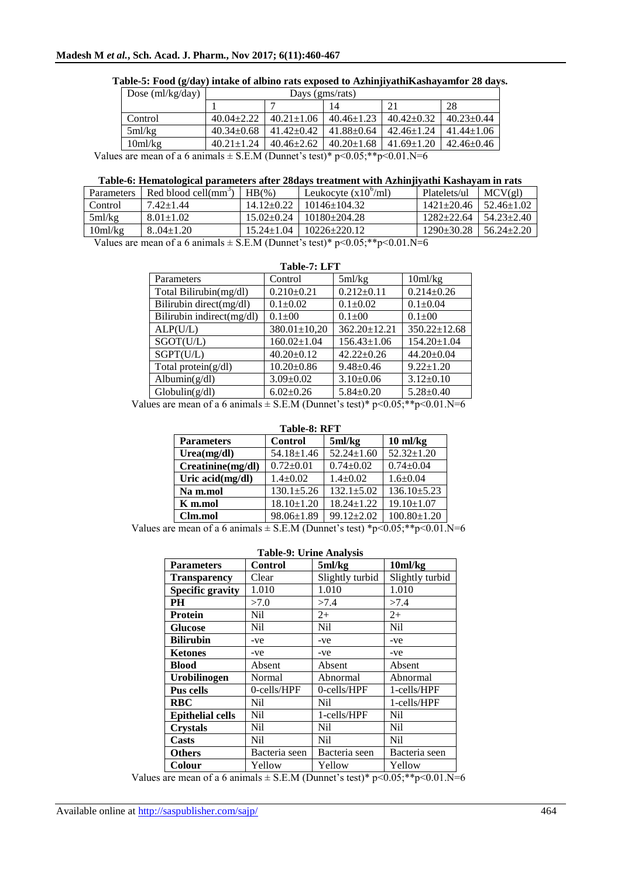| Dose $\text{m1/kg/day}$  |                  | Days (gms/rats)  |                                                                                                               |                  |                  |  |  |
|--------------------------|------------------|------------------|---------------------------------------------------------------------------------------------------------------|------------------|------------------|--|--|
|                          |                  | 28<br>14         |                                                                                                               |                  |                  |  |  |
| Control                  | $40.04 \pm 2.22$ | $40.21 \pm 1.06$ | $40.46 \pm 1.23$                                                                                              | $40.42 \pm 0.32$ | $40.23 \pm 0.44$ |  |  |
| 5ml/kg                   | $40.34 \pm 0.68$ | $41.42 \pm 0.42$ | $41.88 \pm 0.64$                                                                                              | $42.46 \pm 1.24$ | $41.44 \pm 1.06$ |  |  |
| 10ml/kg                  | $40.21 \pm 1.24$ | $40.46 \pm 2.62$ | $40.20 \pm 1.68$                                                                                              | $41.69 \pm 1.20$ | $42.46 \pm 0.46$ |  |  |
| $\overline{\phantom{a}}$ | $\sqrt{2}$       |                  | $\mathcal{L}$ , $\mathcal{L}$ , $\mathcal{L}$ , $\mathcal{L}$ , $\mathcal{L}$ , $\mathcal{L}$ , $\mathcal{L}$ | 0.0137           |                  |  |  |

#### **Table-5: Food (g/day) intake of albino rats exposed to AzhinjiyathiKashayamfor 28 days.**

Values are mean of a 6 animals  $\pm$  S.E.M (Dunnet's test)\* p<0.05;\*\*p<0.01.N=6

#### **Table-6: Hematological parameters after 28days treatment with Azhinjiyathi Kashayam in rats**

| Parameters          | Red blood cell(mm <sup>3</sup> ) | $HB(\%)$         | Leukocyte $(x10^{\circ}/m)$           | Platelets/ul     | MCV(gl)           |
|---------------------|----------------------------------|------------------|---------------------------------------|------------------|-------------------|
| Control             | $7.42 + 1.44$                    | $14.12 \pm 0.22$ | $10146 \pm 104.32$                    | $1421 \pm 20.46$ | $152.46 \pm 1.02$ |
| 5ml/kg              | $8.01 \pm 1.02$                  |                  | $15.02 \pm 0.24$   $10180 \pm 204.28$ | $1282+22.64$     | $54.23 \pm 2.40$  |
| 10 <sub>m</sub> /kg | $8.04 \pm 1.20$                  |                  | $15.24 \pm 1.04$   $10226 \pm 220.12$ | $1290 \pm 30.28$ | $56.24 \pm 2.20$  |
|                     |                                  |                  |                                       |                  |                   |

Values are mean of a 6 animals  $\pm$  S.E.M (Dunnet's test)\* p<0.05;\*\*p<0.01.N=6

| Table-7: LFT              |                    |                   |                    |  |  |  |  |
|---------------------------|--------------------|-------------------|--------------------|--|--|--|--|
| Parameters                | Control            | 5ml/kg            | 10ml/kg            |  |  |  |  |
| Total Bilirubin(mg/dl)    | $0.210 \pm 0.21$   | $0.212 \pm 0.11$  | $0.214 \pm 0.26$   |  |  |  |  |
| Bilirubin direct(mg/dl)   | $0.1 \pm 0.02$     | $0.1 \pm 0.02$    | $0.1 \pm 0.04$     |  |  |  |  |
| Bilirubin indirect(mg/dl) | $0.1 \pm 00$       | $0.1 \pm 00$      | $0.1 \pm 00$       |  |  |  |  |
| ALP(U/L)                  | $380.01 \pm 10,20$ | 362.20±12.21      | $350.22 \pm 12.68$ |  |  |  |  |
| SGOT(U/L)                 | $160.02 \pm 1.04$  | $156.43 \pm 1.06$ | 154.20±1.04        |  |  |  |  |
| SGPT(U/L)                 | $40.20 \pm 0.12$   | $42.22 + 0.26$    | $44.20 + 0.04$     |  |  |  |  |
| Total protein $(g/dl)$    | $10.20 \pm 0.86$   | $9.48 \pm 0.46$   | $9.22 + 1.20$      |  |  |  |  |
| Albumin $(g/dl)$          | $3.09 \pm 0.02$    | $3.10\pm0.06$     | $3.12 \pm 0.10$    |  |  |  |  |
| Globalin(g/dl)            | $6.02 \pm 0.26$    | $5.84 \pm 0.20$   | $5.28 \pm 0.40$    |  |  |  |  |

Values are mean of a 6 animals  $\pm$  S.E.M (Dunnet's test)\* p<0.05;\*\*p<0.01.N=6

| Table-8: RFT      |                  |                  |                    |  |  |  |
|-------------------|------------------|------------------|--------------------|--|--|--|
| <b>Parameters</b> | <b>Control</b>   | 5ml/kg           | $10 \text{ ml/kg}$ |  |  |  |
| Urea(mg/dl)       | $54.18 \pm 1.46$ | $52.24 \pm 1.60$ | $52.32 \pm 1.20$   |  |  |  |
| Creatinine(mg/dl) | $0.72 \pm 0.01$  | $0.74 \pm 0.02$  | $0.74 \pm 0.04$    |  |  |  |
| Uric acid(mg/dl)  | $1.4 \pm 0.02$   | $1.4 \pm 0.02$   | $1.6 \pm 0.04$     |  |  |  |
| Na m.mol          | $130.1 \pm 5.26$ | $132.1 + 5.02$   | $136.10 \pm 5.23$  |  |  |  |
| K m.mol           | $18.10 \pm 1.20$ | $18.24 \pm 1.22$ | $19.10 \pm 1.07$   |  |  |  |
| Clm.mol           | 98.06±1.89       | $99.12 + 2.02$   | $100.80 \pm 1.20$  |  |  |  |

Values are mean of a 6 animals  $\pm$  S.E.M (Dunnet's test) \*p<0.05;\*\*p<0.01.N=6

| <b>Table-9: Urine Analysis</b> |               |                 |                     |  |  |  |  |
|--------------------------------|---------------|-----------------|---------------------|--|--|--|--|
| <b>Parameters</b>              | Control       | 5ml/kg          | 10 <sub>m</sub> /kg |  |  |  |  |
| <b>Transparency</b>            | Clear         | Slightly turbid | Slightly turbid     |  |  |  |  |
| <b>Specific gravity</b>        | 1.010         | 1.010           | 1.010               |  |  |  |  |
| <b>PH</b>                      | >7.0          | >7.4            | >7.4                |  |  |  |  |
| <b>Protein</b>                 | Nil           | $2+$            | $2+$                |  |  |  |  |
| <b>Glucose</b>                 | Nil           | Nil             | N <sub>i</sub>      |  |  |  |  |
| <b>Bilirubin</b>               | -ve           | -ve             | -ve                 |  |  |  |  |
| <b>Ketones</b>                 | -ve           | -ve             | -ve                 |  |  |  |  |
| Blood                          | Absent        | Absent          | Absent              |  |  |  |  |
| Urobilinogen                   | Normal        | Abnormal        | Abnormal            |  |  |  |  |
| Pus cells                      | 0-cells/HPF   | 0-cells/HPF     | 1-cells/HPF         |  |  |  |  |
| <b>RBC</b>                     | Nil           | Nil             | 1-cells/HPF         |  |  |  |  |
| <b>Epithelial cells</b>        | Nil           | 1-cells/HPF     | Nil                 |  |  |  |  |
| <b>Crystals</b>                | Ni1           | Nil             | N <sub>i</sub>      |  |  |  |  |
| Casts                          | Ni1           | Nil             | N <sub>i</sub>      |  |  |  |  |
| <b>Others</b>                  | Bacteria seen | Bacteria seen   | Bacteria seen       |  |  |  |  |
| Colour                         | Yellow        | Yellow          | Yellow              |  |  |  |  |

Values are mean of a 6 animals  $\pm$  S.E.M (Dunnet's test)\* p<0.05;\*\*p<0.01.N=6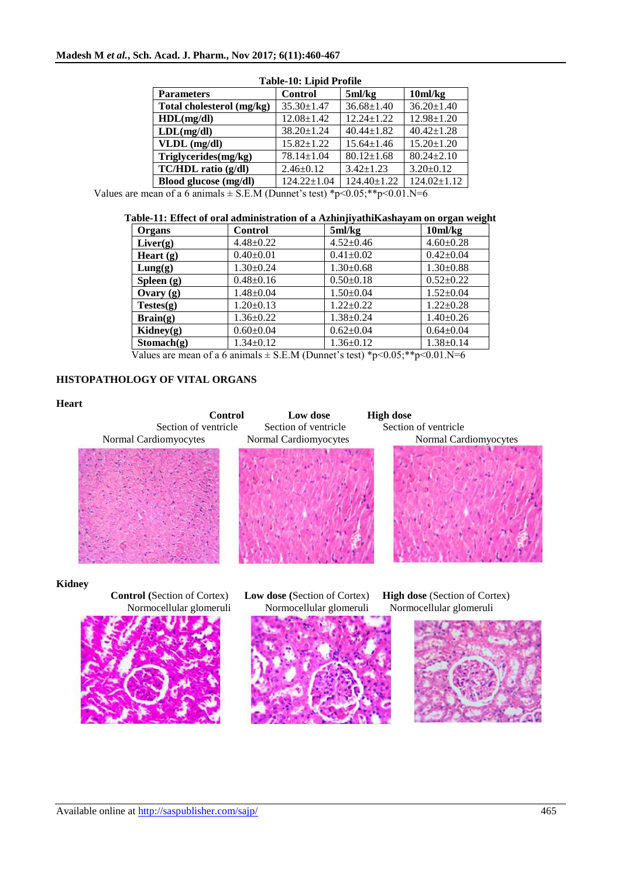| Table-To, Eipid I Toine   |                   |                  |                     |  |  |  |
|---------------------------|-------------------|------------------|---------------------|--|--|--|
| <b>Parameters</b>         | <b>Control</b>    | 5ml/kg           | 10 <sub>m</sub> /kg |  |  |  |
| Total cholesterol (mg/kg) | $35.30 \pm 1.47$  | $36.68 \pm 1.40$ | $36.20 \pm 1.40$    |  |  |  |
| HDL(mg/dl)                | $12.08 \pm 1.42$  | $12.24 + 1.22$   | $12.98 \pm 1.20$    |  |  |  |
| LDL(mg/dl)                | 38.20±1.24        | $40.44 \pm 1.82$ | $40.42 \pm 1.28$    |  |  |  |
| $VLDL$ (mg/dl)            | $15.82 + 1.22$    | $15.64 \pm 1.46$ | $15.20 \pm 1.20$    |  |  |  |
| Triglycerides(mg/kg)      | $78.14 \pm 1.04$  | $80.12 \pm 1.68$ | $80.24 + 2.10$      |  |  |  |
| TC/HDL ratio (g/dl)       | $2.46 \pm 0.12$   | $3.42 \pm 1.23$  | $3.20 \pm 0.12$     |  |  |  |
| Blood glucose (mg/dl)     | $124.22 \pm 1.04$ | 124.40±1.22      | $124.02 \pm 1.12$   |  |  |  |

## **Table-10: Lipid Profile**

Values are mean of a 6 animals  $\pm$  S.E.M (Dunnet's test) \*p<0.05;\*\*p<0.01.N=6

## **Table-11: Effect of oral administration of a AzhinjiyathiKashayam on organ weight**

| Organs                        | <b>Control</b>  | 5ml/kg          | 10 <sub>m</sub> /kg |
|-------------------------------|-----------------|-----------------|---------------------|
| Liver(g)                      | $4.48 \pm 0.22$ | $4.52 \pm 0.46$ | $4.60 \pm 0.28$     |
| Heart $(g)$                   | $0.40 \pm 0.01$ | $0.41 \pm 0.02$ | $0.42 \pm 0.04$     |
| Lung(g)                       | $1.30 \pm 0.24$ | $1.30 \pm 0.68$ | $1.30 \pm 0.88$     |
| Spleen $(g)$                  | $0.48 \pm 0.16$ | $0.50 \pm 0.18$ | $0.52+0.22$         |
| Ovary $(g)$                   | $1.48 \pm 0.04$ | $1.50 \pm 0.04$ | $1.52+0.04$         |
| Testes(g)                     | $1.20 \pm 0.13$ | $1.22+0.22$     | $1.22 \pm 0.28$     |
| $\text{Brain}(g)$             | $1.36 \pm 0.22$ | $1.38 \pm 0.24$ | $1.40 \pm 0.26$     |
| $\mathbf{Kidney}(\mathbf{g})$ | $0.60 \pm 0.04$ | $0.62 \pm 0.04$ | $0.64 \pm 0.04$     |
| Stomach(g)                    | $1.34 \pm 0.12$ | $1.36 \pm 0.12$ | $1.38 \pm 0.14$     |

Values are mean of a 6 animals  $\pm$  S.E.M (Dunnet's test) \*p<0.05;\*\*p<0.01.N=6

### **HISTOPATHOLOGY OF VITAL ORGANS**

# **Heart Control Low dose High dose** Section of ventricle Section of ventricle Section of ventricle Normal Cardiomyocytes Normal Cardiomyocytes Normal Cardiomyocytes **Kidney Control (**Section of Cortex) **Low dose (**Section of Cortex) **High dose** (Section of Cortex) Normocellular glomeruli Normocellular glomeruli Normocellular glomeruli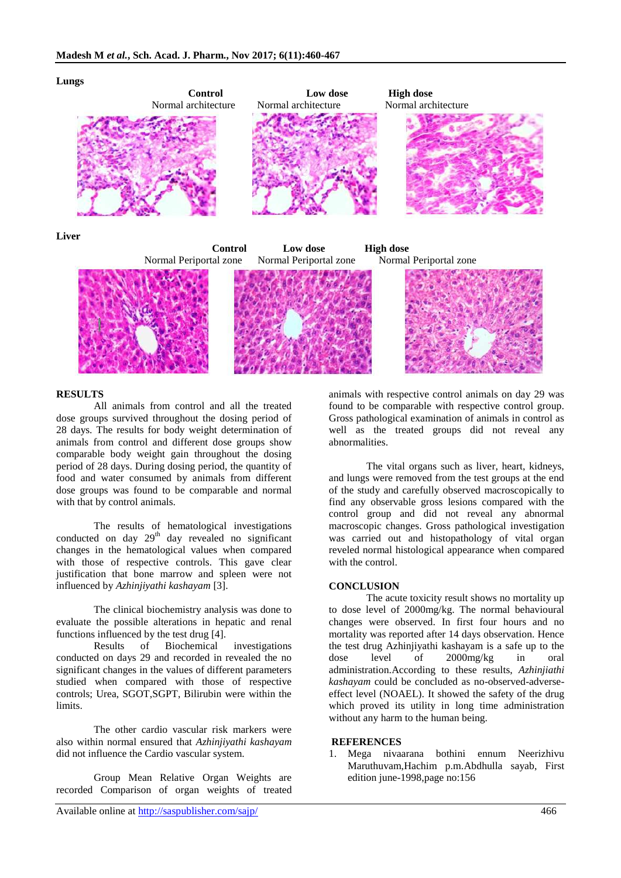

#### **RESULTS**

All animals from control and all the treated dose groups survived throughout the dosing period of 28 days. The results for body weight determination of animals from control and different dose groups show comparable body weight gain throughout the dosing period of 28 days. During dosing period, the quantity of food and water consumed by animals from different dose groups was found to be comparable and normal with that by control animals.

The results of hematological investigations conducted on day  $29<sup>th</sup>$  day revealed no significant changes in the hematological values when compared with those of respective controls. This gave clear justification that bone marrow and spleen were not influenced by *Azhinjiyathi kashayam* [3].

The clinical biochemistry analysis was done to evaluate the possible alterations in hepatic and renal functions influenced by the test drug [4].

Results of Biochemical investigations conducted on days 29 and recorded in revealed the no significant changes in the values of different parameters studied when compared with those of respective controls; Urea, SGOT,SGPT, Bilirubin were within the limits.

The other cardio vascular risk markers were also within normal ensured that *Azhinjiyathi kashayam* did not influence the Cardio vascular system.

Group Mean Relative Organ Weights are recorded Comparison of organ weights of treated animals with respective control animals on day 29 was found to be comparable with respective control group. Gross pathological examination of animals in control as well as the treated groups did not reveal any abnormalities.

The vital organs such as liver, heart, kidneys, and lungs were removed from the test groups at the end of the study and carefully observed macroscopically to find any observable gross lesions compared with the control group and did not reveal any abnormal macroscopic changes. Gross pathological investigation was carried out and histopathology of vital organ reveled normal histological appearance when compared with the control.

#### **CONCLUSION**

The acute toxicity result shows no mortality up to dose level of 2000mg/kg. The normal behavioural changes were observed. In first four hours and no mortality was reported after 14 days observation. Hence the test drug Azhinjiyathi kashayam is a safe up to the dose level of 2000mg/kg in oral administration.According to these results, *Azhinjiathi kashayam* could be concluded as no-observed-adverseeffect level (NOAEL). It showed the safety of the drug which proved its utility in long time administration without any harm to the human being.

#### **REFERENCES**

1. Mega nivaarana bothini ennum Neerizhivu Maruthuvam,Hachim p.m.Abdhulla sayab, First edition june-1998,page no:156